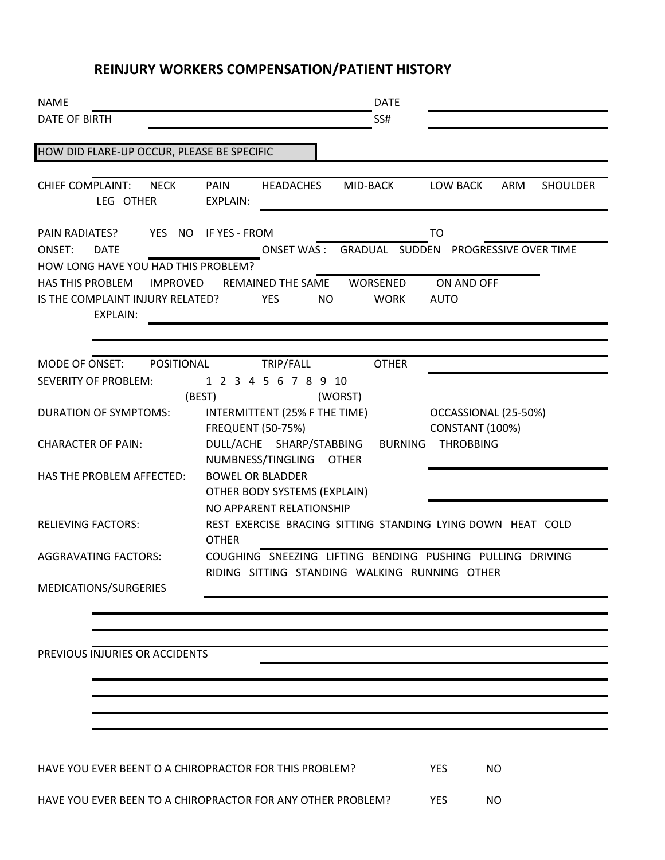### **REINJURY WORKERS COMPENSATION/PATIENT HISTORY**

| <b>NAME</b>                                                 |                                |                                                             | <b>DATE</b>    |                        |                              |          |
|-------------------------------------------------------------|--------------------------------|-------------------------------------------------------------|----------------|------------------------|------------------------------|----------|
| <b>DATE OF BIRTH</b>                                        |                                |                                                             | SS#            |                        |                              |          |
| HOW DID FLARE-UP OCCUR, PLEASE BE SPECIFIC                  |                                |                                                             |                |                        |                              |          |
|                                                             |                                |                                                             |                |                        |                              |          |
| <b>CHIEF COMPLAINT:</b><br><b>NECK</b><br>LEG OTHER         | <b>PAIN</b><br><b>EXPLAIN:</b> | <b>HEADACHES</b>                                            | MID-BACK       | LOW BACK               | ARM                          | SHOULDER |
| PAIN RADIATES?<br>YES NO                                    | IF YES - FROM                  |                                                             |                | TO                     |                              |          |
| ONSET:<br><b>DATE</b>                                       |                                | ONSET WAS: GRADUAL SUDDEN                                   |                |                        | <b>PROGRESSIVE OVER TIME</b> |          |
| HOW LONG HAVE YOU HAD THIS PROBLEM?                         |                                |                                                             |                |                        |                              |          |
| <b>HAS THIS PROBLEM</b><br><b>IMPROVED</b>                  |                                | <b>REMAINED THE SAME</b>                                    | WORSENED       | ON AND OFF             |                              |          |
| IS THE COMPLAINT INJURY RELATED?<br><b>EXPLAIN:</b>         |                                | <b>YES</b><br><b>NO</b>                                     | <b>WORK</b>    | <b>AUTO</b>            |                              |          |
|                                                             |                                |                                                             |                |                        |                              |          |
| MODE OF ONSET:<br>POSITIONAL                                |                                | TRIP/FALL                                                   | <b>OTHER</b>   |                        |                              |          |
| <b>SEVERITY OF PROBLEM:</b>                                 |                                | 1 2 3 4 5 6 7 8 9 10                                        |                |                        |                              |          |
|                                                             | (BEST)                         |                                                             | (WORST)        |                        |                              |          |
| <b>DURATION OF SYMPTOMS:</b>                                |                                | INTERMITTENT (25% F THE TIME)                               |                | OCCASSIONAL (25-50%)   |                              |          |
|                                                             | <b>FREQUENT (50-75%)</b>       |                                                             |                | <b>CONSTANT (100%)</b> |                              |          |
| <b>CHARACTER OF PAIN:</b>                                   |                                | DULL/ACHE SHARP/STABBING                                    | <b>BURNING</b> | <b>THROBBING</b>       |                              |          |
|                                                             |                                | NUMBNESS/TINGLING OTHER                                     |                |                        |                              |          |
| HAS THE PROBLEM AFFECTED:                                   |                                | <b>BOWEL OR BLADDER</b>                                     |                |                        |                              |          |
|                                                             |                                | OTHER BODY SYSTEMS (EXPLAIN)                                |                |                        |                              |          |
|                                                             |                                | NO APPARENT RELATIONSHIP                                    |                |                        |                              |          |
| <b>RELIEVING FACTORS:</b>                                   | <b>OTHER</b>                   | REST EXERCISE BRACING SITTING STANDING LYING DOWN HEAT COLD |                |                        |                              |          |
| <b>AGGRAVATING FACTORS:</b>                                 |                                | COUGHING SNEEZING LIFTING BENDING PUSHING PULLING DRIVING   |                |                        |                              |          |
|                                                             |                                | RIDING SITTING STANDING WALKING RUNNING OTHER               |                |                        |                              |          |
| MEDICATIONS/SURGERIES                                       |                                |                                                             |                |                        |                              |          |
|                                                             |                                |                                                             |                |                        |                              |          |
|                                                             |                                |                                                             |                |                        |                              |          |
| PREVIOUS INJURIES OR ACCIDENTS                              |                                |                                                             |                |                        |                              |          |
|                                                             |                                |                                                             |                |                        |                              |          |
|                                                             |                                |                                                             |                |                        |                              |          |
|                                                             |                                |                                                             |                |                        |                              |          |
|                                                             |                                |                                                             |                |                        |                              |          |
|                                                             |                                |                                                             |                |                        |                              |          |
|                                                             |                                |                                                             |                |                        |                              |          |
| HAVE YOU EVER BEENT O A CHIROPRACTOR FOR THIS PROBLEM?      |                                |                                                             |                | <b>YES</b>             | <b>NO</b>                    |          |
| HAVE YOU EVER BEEN TO A CHIROPRACTOR FOR ANY OTHER PROBLEM? |                                |                                                             |                | <b>YES</b>             | <b>NO</b>                    |          |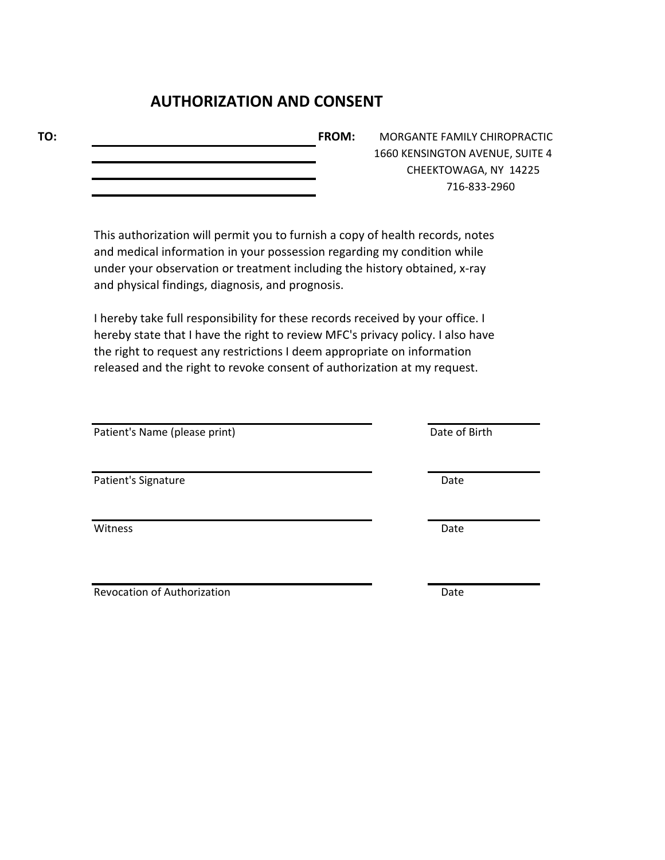### **AUTHORIZATION AND CONSENT**

**TO: FROM:** MORGANTE FAMILY CHIROPRACTIC

1660 KENSINGTON AVENUE, SUITE 4 CHEEKTOWAGA, NY 14225 716-833-2960

This authorization will permit you to furnish a copy of health records, notes and medical information in your possession regarding my condition while under your observation or treatment including the history obtained, x-ray and physical findings, diagnosis, and prognosis.

I hereby take full responsibility for these records received by your office. I hereby state that I have the right to review MFC's privacy policy. I also have the right to request any restrictions I deem appropriate on information released and the right to revoke consent of authorization at my request.

Patient's Name (please print) Date of Birth

Patient's Signature Date

Witness **Date** 

Revocation of Authorization **Date**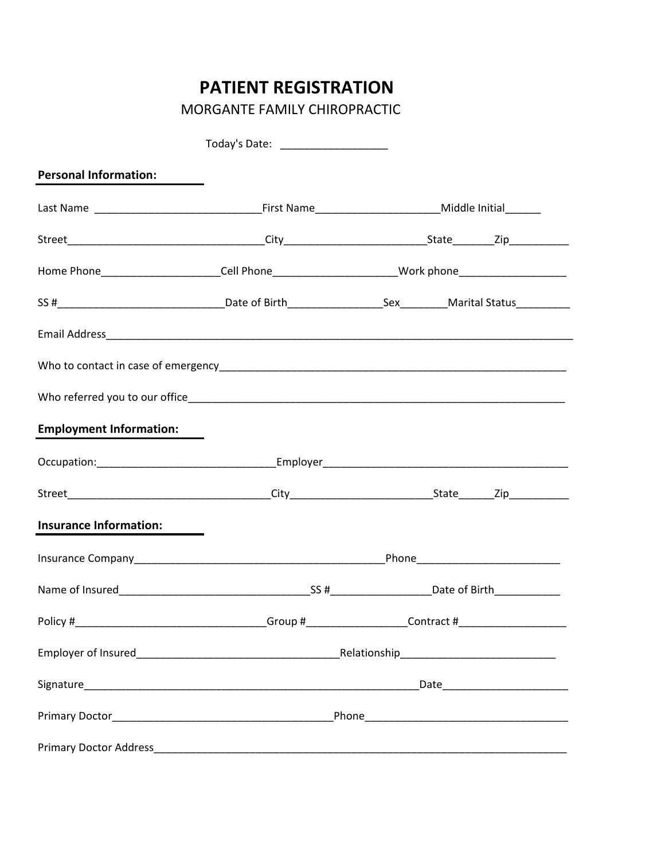# **PATIENT REGISTRATION**

MORGANTE FAMILY CHIROPRACTIC

| <b>Personal Information:</b>                                                                              |  |  |
|-----------------------------------------------------------------------------------------------------------|--|--|
|                                                                                                           |  |  |
|                                                                                                           |  |  |
| Home Phone_________________________Cell Phone__________________________Work phone________________________ |  |  |
|                                                                                                           |  |  |
|                                                                                                           |  |  |
|                                                                                                           |  |  |
|                                                                                                           |  |  |
| <b>Employment Information:</b>                                                                            |  |  |
|                                                                                                           |  |  |
|                                                                                                           |  |  |
| <b>Insurance Information:</b>                                                                             |  |  |
|                                                                                                           |  |  |
|                                                                                                           |  |  |
|                                                                                                           |  |  |
|                                                                                                           |  |  |
|                                                                                                           |  |  |
|                                                                                                           |  |  |
|                                                                                                           |  |  |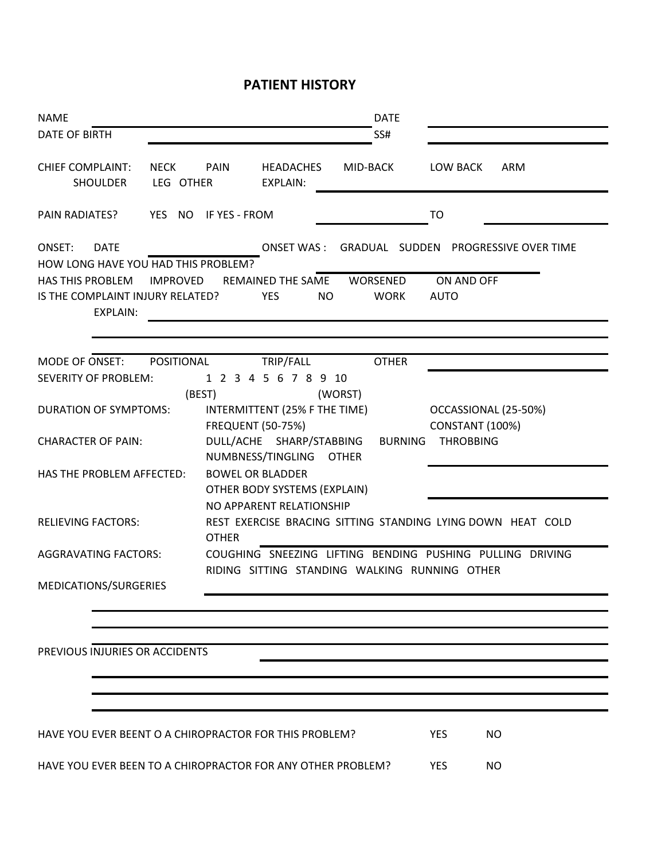### **PATIENT HISTORY**

| <b>NAME</b>                                                             |                          |                          |                                                          | <b>DATE</b>             |                |                                                |                                                             |
|-------------------------------------------------------------------------|--------------------------|--------------------------|----------------------------------------------------------|-------------------------|----------------|------------------------------------------------|-------------------------------------------------------------|
| <b>DATE OF BIRTH</b>                                                    |                          |                          |                                                          | SS#                     |                |                                                |                                                             |
| <b>CHIEF COMPLAINT:</b><br><b>SHOULDER</b>                              | <b>NECK</b><br>LEG OTHER | PAIN                     | <b>HEADACHES</b><br><b>EXPLAIN:</b>                      | MID-BACK                |                | LOW BACK                                       | ARM                                                         |
| <b>PAIN RADIATES?</b>                                                   | YES NO                   | IF YES - FROM            |                                                          |                         |                | T <sub>O</sub>                                 |                                                             |
| ONSET:<br><b>DATE</b><br>HOW LONG HAVE YOU HAD THIS PROBLEM?            |                          |                          | <b>ONSET WAS:</b>                                        |                         |                |                                                | GRADUAL SUDDEN PROGRESSIVE OVER TIME                        |
| <b>HAS THIS PROBLEM</b><br>IS THE COMPLAINT INJURY RELATED?<br>EXPLAIN: | <b>IMPROVED</b>          |                          | REMAINED THE SAME<br><b>YES</b><br><b>NO</b>             | WORSENED<br><b>WORK</b> |                | ON AND OFF<br><b>AUTO</b>                      |                                                             |
| MODE OF ONSET:                                                          | POSITIONAL               |                          | TRIP/FALL                                                | <b>OTHER</b>            |                |                                                |                                                             |
| <b>SEVERITY OF PROBLEM:</b>                                             |                          |                          | 1 2 3 4 5 6 7 8 9 10                                     |                         |                |                                                |                                                             |
| <b>DURATION OF SYMPTOMS:</b>                                            | (BEST)                   | <b>FREQUENT (50-75%)</b> | INTERMITTENT (25% F THE TIME)                            | (WORST)                 |                | OCCASSIONAL (25-50%)<br><b>CONSTANT (100%)</b> |                                                             |
| <b>CHARACTER OF PAIN:</b>                                               |                          |                          | DULL/ACHE SHARP/STABBING<br>NUMBNESS/TINGLING            | <b>OTHER</b>            | <b>BURNING</b> | <b>THROBBING</b>                               |                                                             |
| HAS THE PROBLEM AFFECTED:                                               |                          | <b>BOWEL OR BLADDER</b>  | OTHER BODY SYSTEMS (EXPLAIN)<br>NO APPARENT RELATIONSHIP |                         |                |                                                |                                                             |
| <b>RELIEVING FACTORS:</b>                                               |                          | <b>OTHER</b>             |                                                          |                         |                |                                                | REST EXERCISE BRACING SITTING STANDING LYING DOWN HEAT COLD |
| <b>AGGRAVATING FACTORS:</b>                                             |                          |                          | RIDING SITTING STANDING WALKING RUNNING OTHER            |                         |                |                                                | COUGHING SNEEZING LIFTING BENDING PUSHING PULLING DRIVING   |
| MEDICATIONS/SURGERIES                                                   |                          |                          |                                                          |                         |                |                                                |                                                             |
|                                                                         |                          |                          |                                                          |                         |                |                                                |                                                             |
|                                                                         |                          |                          |                                                          |                         |                |                                                |                                                             |
| PREVIOUS INJURIES OR ACCIDENTS                                          |                          |                          |                                                          |                         |                |                                                |                                                             |
|                                                                         |                          |                          |                                                          |                         |                |                                                |                                                             |
|                                                                         |                          |                          |                                                          |                         |                |                                                |                                                             |
|                                                                         |                          |                          |                                                          |                         |                |                                                |                                                             |
| HAVE YOU EVER BEENT O A CHIROPRACTOR FOR THIS PROBLEM?                  |                          |                          |                                                          |                         |                | <b>YES</b><br><b>NO</b>                        |                                                             |
| HAVE YOU EVER BEEN TO A CHIROPRACTOR FOR ANY OTHER PROBLEM?             |                          |                          |                                                          |                         |                | <b>YES</b><br>NO.                              |                                                             |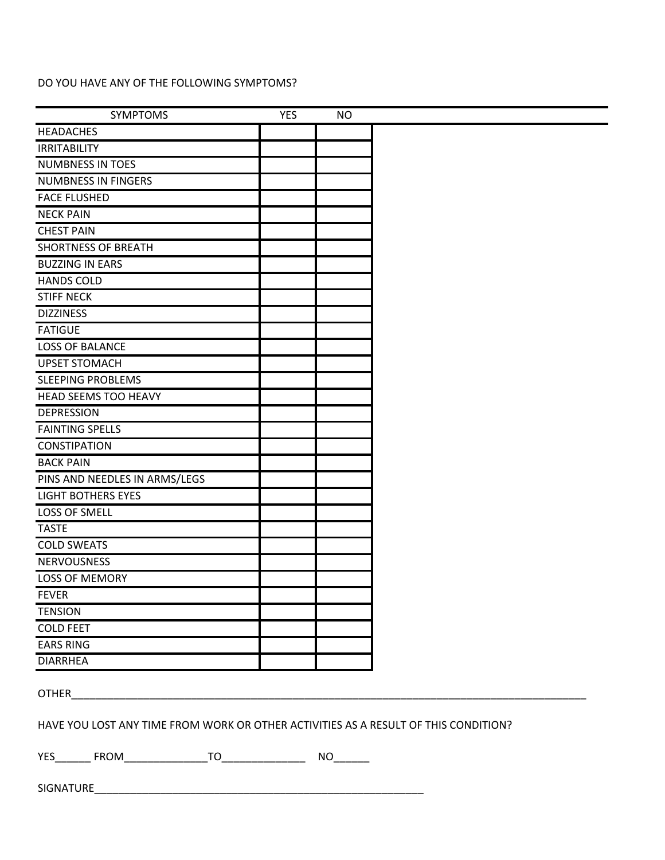#### DO YOU HAVE ANY OF THE FOLLOWING SYMPTOMS?

| <b>SYMPTOMS</b>                                                                     | <b>YES</b> | <b>NO</b> |  |
|-------------------------------------------------------------------------------------|------------|-----------|--|
| <b>HEADACHES</b>                                                                    |            |           |  |
| <b>IRRITABILITY</b>                                                                 |            |           |  |
| <b>NUMBNESS IN TOES</b>                                                             |            |           |  |
| <b>NUMBNESS IN FINGERS</b>                                                          |            |           |  |
| <b>FACE FLUSHED</b>                                                                 |            |           |  |
| <b>NECK PAIN</b>                                                                    |            |           |  |
| <b>CHEST PAIN</b>                                                                   |            |           |  |
| <b>SHORTNESS OF BREATH</b>                                                          |            |           |  |
| <b>BUZZING IN EARS</b>                                                              |            |           |  |
| <b>HANDS COLD</b>                                                                   |            |           |  |
| <b>STIFF NECK</b>                                                                   |            |           |  |
| <b>DIZZINESS</b>                                                                    |            |           |  |
| <b>FATIGUE</b>                                                                      |            |           |  |
| <b>LOSS OF BALANCE</b>                                                              |            |           |  |
| <b>UPSET STOMACH</b>                                                                |            |           |  |
| <b>SLEEPING PROBLEMS</b>                                                            |            |           |  |
| <b>HEAD SEEMS TOO HEAVY</b>                                                         |            |           |  |
| <b>DEPRESSION</b>                                                                   |            |           |  |
| <b>FAINTING SPELLS</b>                                                              |            |           |  |
| <b>CONSTIPATION</b>                                                                 |            |           |  |
| <b>BACK PAIN</b>                                                                    |            |           |  |
| PINS AND NEEDLES IN ARMS/LEGS                                                       |            |           |  |
| <b>LIGHT BOTHERS EYES</b>                                                           |            |           |  |
| LOSS OF SMELL                                                                       |            |           |  |
| <b>TASTE</b>                                                                        |            |           |  |
| <b>COLD SWEATS</b>                                                                  |            |           |  |
| <b>NERVOUSNESS</b>                                                                  |            |           |  |
| <b>LOSS OF MEMORY</b>                                                               |            |           |  |
| <b>FEVER</b>                                                                        |            |           |  |
| <b>TENSION</b>                                                                      |            |           |  |
| <b>COLD FEET</b>                                                                    |            |           |  |
| <b>EARS RING</b>                                                                    |            |           |  |
| <b>DIARRHEA</b>                                                                     |            |           |  |
|                                                                                     |            |           |  |
| <b>OTHER CONTRACTER</b>                                                             |            |           |  |
|                                                                                     |            |           |  |
| HAVE YOU LOST ANY TIME FROM WORK OR OTHER ACTIVITIES AS A RESULT OF THIS CONDITION? |            |           |  |
|                                                                                     |            |           |  |
|                                                                                     |            |           |  |
|                                                                                     |            |           |  |
|                                                                                     |            |           |  |
|                                                                                     |            |           |  |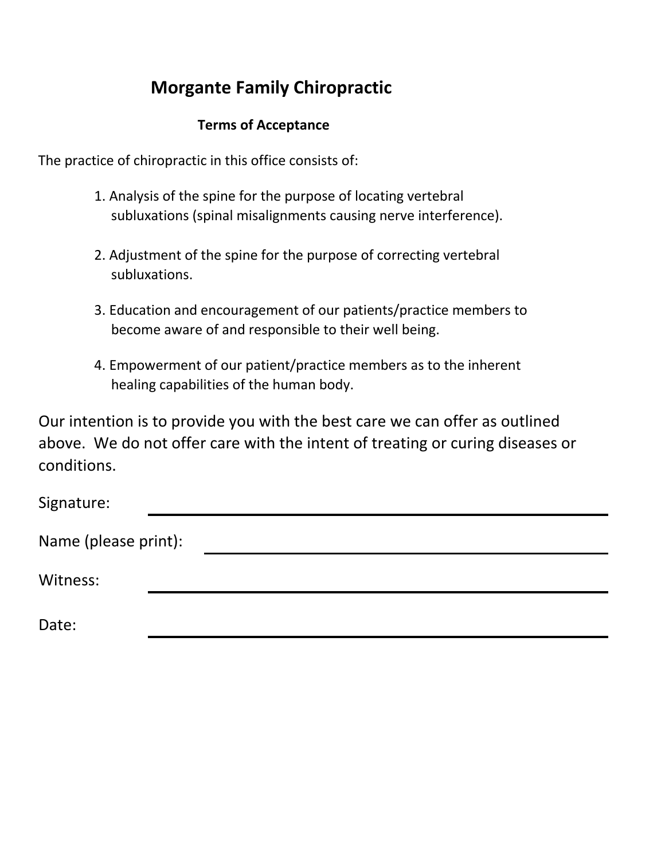## **Morgante Family Chiropractic**

### **Terms of Acceptance**

The practice of chiropractic in this office consists of:

- 1. Analysis of the spine for the purpose of locating vertebral subluxations (spinal misalignments causing nerve interference).
- 2. Adjustment of the spine for the purpose of correcting vertebral subluxations.
- 3. Education and encouragement of our patients/practice members to become aware of and responsible to their well being.
- 4. Empowerment of our patient/practice members as to the inherent healing capabilities of the human body.

Our intention is to provide you with the best care we can offer as outlined above. We do not offer care with the intent of treating or curing diseases or conditions.

| Signature:           |  |  |
|----------------------|--|--|
| Name (please print): |  |  |
| Witness:             |  |  |
| Date:                |  |  |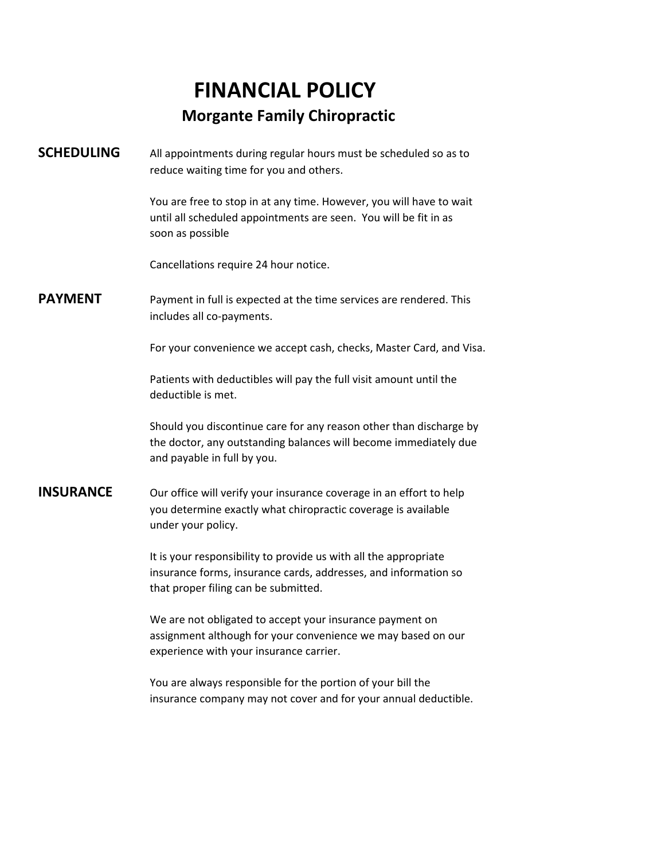# **FINANCIAL POLICY Morgante Family Chiropractic**

**SCHEDULING** All appointments during regular hours must be scheduled so as to reduce waiting time for you and others.

> You are free to stop in at any time. However, you will have to wait until all scheduled appointments are seen. You will be fit in as soon as possible

Cancellations require 24 hour notice.

**PAYMENT** Payment in full is expected at the time services are rendered. This includes all co-payments.

For your convenience we accept cash, checks, Master Card, and Visa.

Patients with deductibles will pay the full visit amount until the deductible is met.

Should you discontinue care for any reason other than discharge by the doctor, any outstanding balances will become immediately due and payable in full by you.

**INSURANCE** Our office will verify your insurance coverage in an effort to help you determine exactly what chiropractic coverage is available under your policy.

> It is your responsibility to provide us with all the appropriate insurance forms, insurance cards, addresses, and information so that proper filing can be submitted.

> We are not obligated to accept your insurance payment on assignment although for your convenience we may based on our experience with your insurance carrier.

You are always responsible for the portion of your bill the insurance company may not cover and for your annual deductible.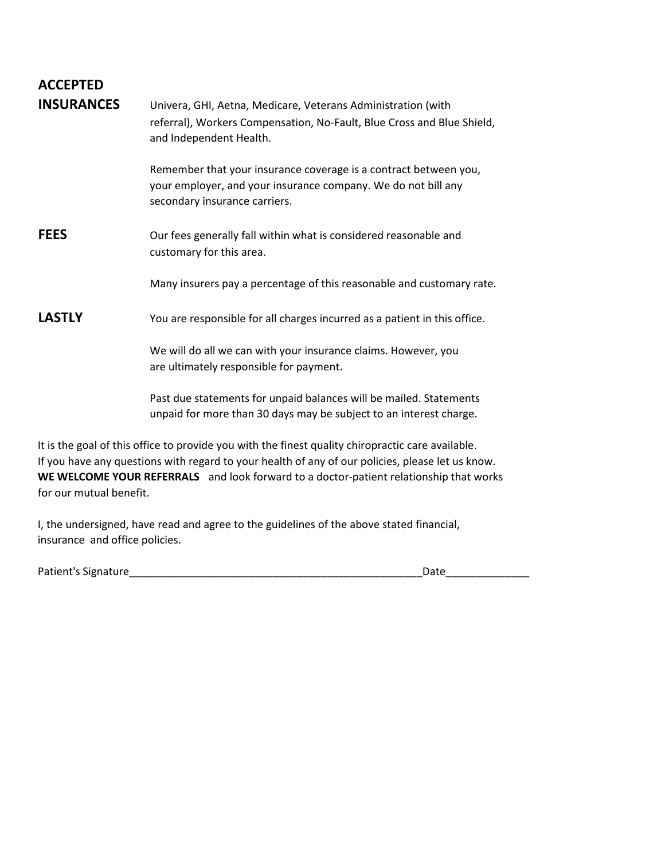### **ACCEPTED INSURANCES** Univera, GHI, Aetna, Medicare, Veterans Administration (with

| <b>INSURANCES</b> | Univera, GHI, Aetha, Medicare, Veterans Administration (With<br>referral), Workers Compensation, No-Fault, Blue Cross and Blue Shield,<br>and Independent Health.                                     |
|-------------------|-------------------------------------------------------------------------------------------------------------------------------------------------------------------------------------------------------|
|                   | Remember that your insurance coverage is a contract between you,<br>your employer, and your insurance company. We do not bill any<br>secondary insurance carriers.                                    |
| <b>FEES</b>       | Our fees generally fall within what is considered reasonable and<br>customary for this area.                                                                                                          |
|                   | Many insurers pay a percentage of this reasonable and customary rate.                                                                                                                                 |
| <b>LASTLY</b>     | You are responsible for all charges incurred as a patient in this office.                                                                                                                             |
|                   | We will do all we can with your insurance claims. However, you<br>are ultimately responsible for payment.                                                                                             |
|                   | Past due statements for unpaid balances will be mailed. Statements<br>unpaid for more than 30 days may be subject to an interest charge.                                                              |
|                   | It is the goal of this office to provide you with the finest quality chiropractic care available.<br>If you have any questions with regard to your health of any of our policies, please let us know. |

**WE WELCOME YOUR REFERRALS** and look forward to a doctor-patient relationship that works for our mutual benefit.

I, the undersigned, have read and agree to the guidelines of the above stated financial, insurance and office policies.

Patient's Signature\_\_\_\_\_\_\_\_\_\_\_\_\_\_\_\_\_\_\_\_\_\_\_\_\_\_\_\_\_\_\_\_\_\_\_\_\_\_\_\_\_\_\_\_\_\_\_\_\_Date\_\_\_\_\_\_\_\_\_\_\_\_\_\_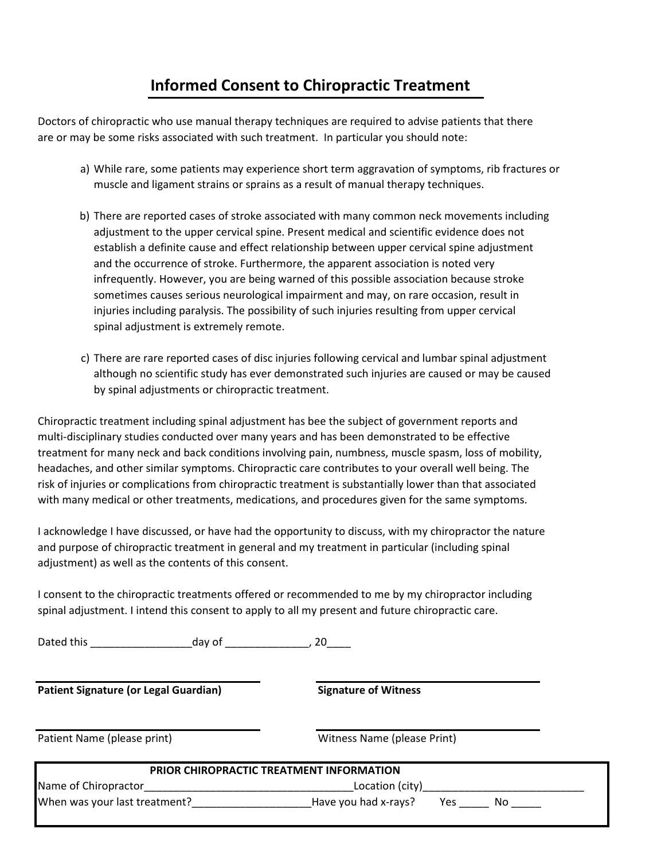### **Informed Consent to Chiropractic Treatment**

Doctors of chiropractic who use manual therapy techniques are required to advise patients that there are or may be some risks associated with such treatment. In particular you should note:

- a) While rare, some patients may experience short term aggravation of symptoms, rib fractures or muscle and ligament strains or sprains as a result of manual therapy techniques.
- b) There are reported cases of stroke associated with many common neck movements including adjustment to the upper cervical spine. Present medical and scientific evidence does not establish a definite cause and effect relationship between upper cervical spine adjustment and the occurrence of stroke. Furthermore, the apparent association is noted very infrequently. However, you are being warned of this possible association because stroke sometimes causes serious neurological impairment and may, on rare occasion, result in injuries including paralysis. The possibility of such injuries resulting from upper cervical spinal adjustment is extremely remote.
- c) There are rare reported cases of disc injuries following cervical and lumbar spinal adjustment although no scientific study has ever demonstrated such injuries are caused or may be caused by spinal adjustments or chiropractic treatment.

Chiropractic treatment including spinal adjustment has bee the subject of government reports and multi-disciplinary studies conducted over many years and has been demonstrated to be effective treatment for many neck and back conditions involving pain, numbness, muscle spasm, loss of mobility, headaches, and other similar symptoms. Chiropractic care contributes to your overall well being. The risk of injuries or complications from chiropractic treatment is substantially lower than that associated with many medical or other treatments, medications, and procedures given for the same symptoms.

I acknowledge I have discussed, or have had the opportunity to discuss, with my chiropractor the nature and purpose of chiropractic treatment in general and my treatment in particular (including spinal adjustment) as well as the contents of this consent.

I consent to the chiropractic treatments offered or recommended to me by my chiropractor including spinal adjustment. I intend this consent to apply to all my present and future chiropractic care.

Dated this \_\_\_\_\_\_\_\_\_\_\_\_\_\_\_\_\_day of \_\_\_\_\_\_\_\_\_\_\_\_\_\_, 20\_\_\_\_

**Patient Signature (or Legal Guardian) Signature of Witness**

Patient Name (please print) and a metal witness Name (please Print)

|                               | <b>PRIOR CHIROPRACTIC TREATMENT INFORMATION</b> |     |    |
|-------------------------------|-------------------------------------------------|-----|----|
| Name of Chiropractor          | Location (city)                                 |     |    |
| When was your last treatment? | Have you had x-rays?                            | Yes | NΟ |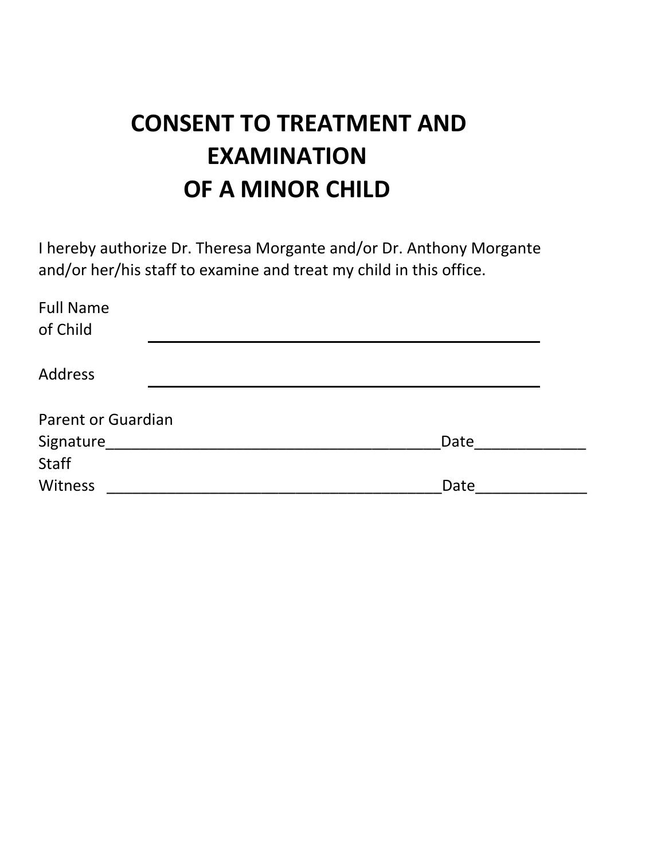# **CONSENT TO TREATMENT AND EXAMINATION OF A MINOR CHILD**

I hereby authorize Dr. Theresa Morgante and/or Dr. Anthony Morgante and/or her/his staff to examine and treat my child in this office.

| <b>Full Name</b><br>of Child |      |
|------------------------------|------|
| <b>Address</b>               |      |
| Parent or Guardian           |      |
|                              |      |
| Signature                    | Date |
| <b>Staff</b>                 |      |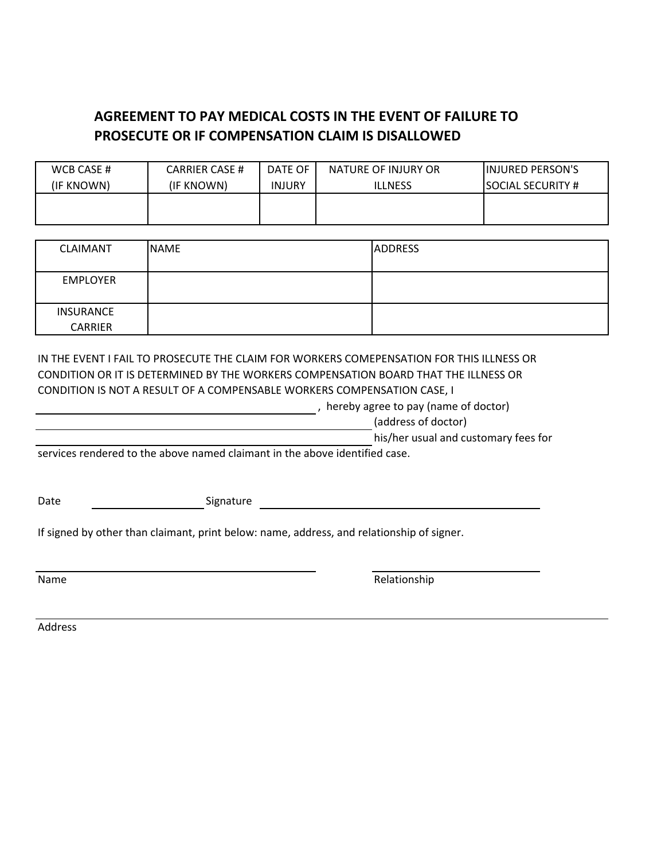### **AGREEMENT TO PAY MEDICAL COSTS IN THE EVENT OF FAILURE TO PROSECUTE OR IF COMPENSATION CLAIM IS DISALLOWED**

| WCB CASE # | <b>CARRIER CASE #</b> | DATE OF       | NATURE OF INJURY OR | <b>INJURED PERSON'S</b>   |
|------------|-----------------------|---------------|---------------------|---------------------------|
| (IF KNOWN) | (IF KNOWN)            | <b>INJURY</b> | <b>ILLNESS</b>      | <b>ISOCIAL SECURITY #</b> |
|            |                       |               |                     |                           |
|            |                       |               |                     |                           |

| <b>CLAIMANT</b>  | <b>NAME</b> | <b>ADDRESS</b> |
|------------------|-------------|----------------|
|                  |             |                |
| <b>EMPLOYER</b>  |             |                |
|                  |             |                |
| <b>INSURANCE</b> |             |                |
| <b>CARRIER</b>   |             |                |

IN THE EVENT I FAIL TO PROSECUTE THE CLAIM FOR WORKERS COMEPENSATION FOR THIS ILLNESS OR CONDITION OR IT IS DETERMINED BY THE WORKERS COMPENSATION BOARD THAT THE ILLNESS OR CONDITION IS NOT A RESULT OF A COMPENSABLE WORKERS COMPENSATION CASE, I

, hereby agree to pay (name of doctor)

(address of doctor)

his/her usual and customary fees for

services rendered to the above named claimant in the above identified case.

Date Signature Signature

If signed by other than claimant, print below: name, address, and relationship of signer.

Name Relationship

Address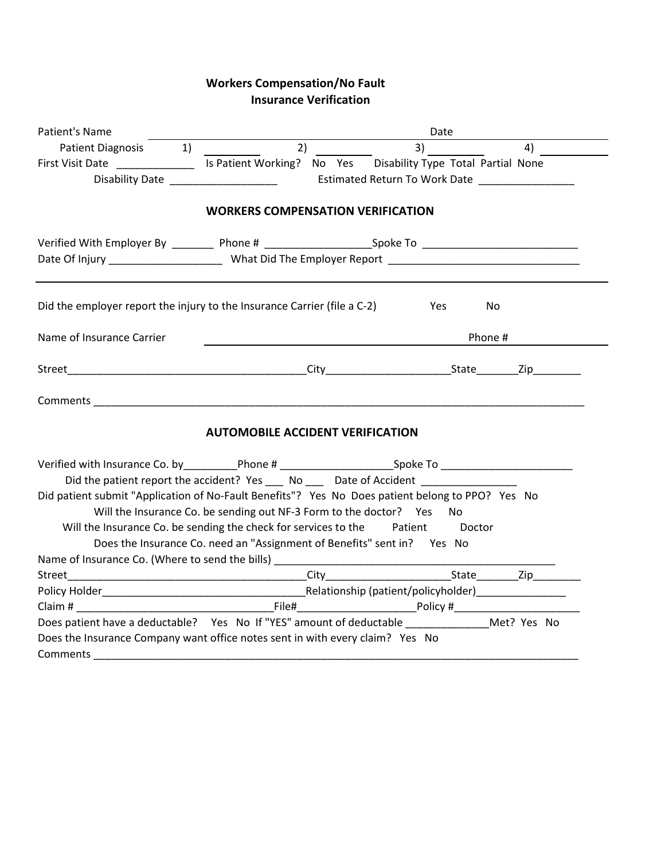#### **Workers Compensation/No Fault Insurance Verification**

| Patient's Name                                                                                                 |                                         |                                                                          | Date      |    |
|----------------------------------------------------------------------------------------------------------------|-----------------------------------------|--------------------------------------------------------------------------|-----------|----|
| Patient Diagnosis 1)                                                                                           | 2)                                      | 3)                                                                       |           | 4) |
| First Visit Date ___________________ Is Patient Working? No Yes Disability Type Total Partial None             |                                         |                                                                          |           |    |
|                                                                                                                |                                         |                                                                          |           |    |
|                                                                                                                |                                         | <b>WORKERS COMPENSATION VERIFICATION</b>                                 |           |    |
|                                                                                                                |                                         |                                                                          |           |    |
| Verified With Employer By ___________ Phone # _________________________Spoke To ______________________________ |                                         |                                                                          |           |    |
|                                                                                                                |                                         |                                                                          |           |    |
| Did the employer report the injury to the Insurance Carrier (file a C-2)                                       |                                         |                                                                          | Yes<br>No |    |
| Name of Insurance Carrier                                                                                      |                                         |                                                                          | Phone #   |    |
|                                                                                                                |                                         |                                                                          |           |    |
|                                                                                                                |                                         |                                                                          |           |    |
|                                                                                                                | <b>AUTOMOBILE ACCIDENT VERIFICATION</b> |                                                                          |           |    |
|                                                                                                                |                                         |                                                                          |           |    |
| Did the patient report the accident? Yes _____ No _____ Date of Accident _____________                         |                                         |                                                                          |           |    |
| Did patient submit "Application of No-Fault Benefits"? Yes No Does patient belong to PPO? Yes No               |                                         |                                                                          |           |    |
|                                                                                                                |                                         | Will the Insurance Co. be sending out NF-3 Form to the doctor? Yes       | No        |    |
| Will the Insurance Co. be sending the check for services to the Patient                                        |                                         |                                                                          | Doctor    |    |
|                                                                                                                |                                         | Does the Insurance Co. need an "Assignment of Benefits" sent in?  Yes No |           |    |
|                                                                                                                |                                         |                                                                          |           |    |
| Street                                                                                                         |                                         |                                                                          |           |    |
|                                                                                                                |                                         |                                                                          |           |    |
|                                                                                                                |                                         |                                                                          |           |    |
| Does patient have a deductable? Yes No If "YES" amount of deductable Met? Yes No                               |                                         |                                                                          |           |    |
| Does the Insurance Company want office notes sent in with every claim? Yes No                                  |                                         |                                                                          |           |    |
|                                                                                                                |                                         |                                                                          |           |    |